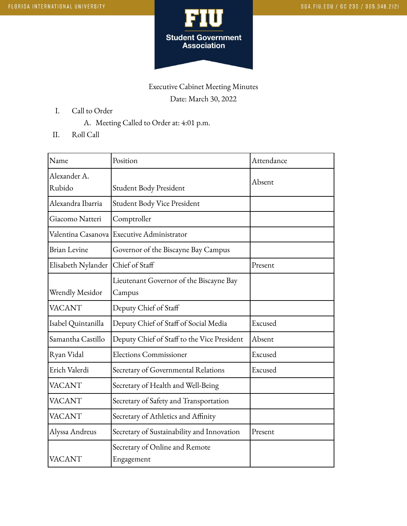

## Executive Cabinet Meeting Minutes Date: March 30, 2022

- I. Call to Order
	- A. Meeting Called to Order at: 4:01 p.m.
- II. Roll Call

| Name                | Position                                     | Attendance |
|---------------------|----------------------------------------------|------------|
| Alexander A.        |                                              | Absent     |
| Rubido              | Student Body President                       |            |
| Alexandra Ibarria   | Student Body Vice President                  |            |
| Giacomo Natteri     | Comptroller                                  |            |
|                     | Valentina Casanova   Executive Administrator |            |
| <b>Brian Levine</b> | Governor of the Biscayne Bay Campus          |            |
| Elisabeth Nylander  | Chief of Staff                               | Present    |
|                     | Lieutenant Governor of the Biscayne Bay      |            |
| Wrendly Mesidor     | Campus                                       |            |
| <b>VACANT</b>       | Deputy Chief of Staff                        |            |
| Isabel Quintanilla  | Deputy Chief of Staff of Social Media        | Excused    |
| Samantha Castillo   | Deputy Chief of Staff to the Vice President  | Absent     |
| Ryan Vidal          | <b>Elections Commissioner</b>                | Excused    |
| Erich Valerdi       | Secretary of Governmental Relations          | Excused    |
| <b>VACANT</b>       | Secretary of Health and Well-Being           |            |
| <b>VACANT</b>       | Secretary of Safety and Transportation       |            |
| <b>VACANT</b>       | Secretary of Athletics and Affinity          |            |
| Alyssa Andreus      | Secretary of Sustainability and Innovation   | Present    |
| VACANT              | Secretary of Online and Remote<br>Engagement |            |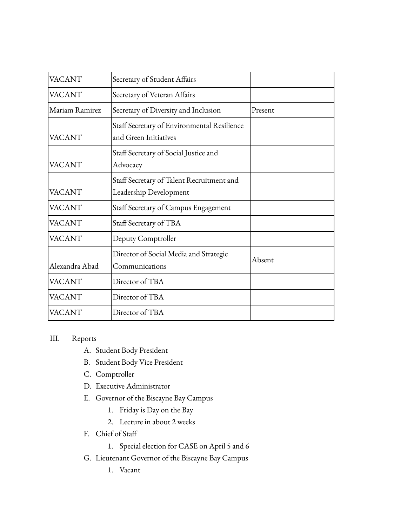| <b>VACANT</b>  | Secretary of Student Affairs                                         |         |
|----------------|----------------------------------------------------------------------|---------|
| <b>VACANT</b>  | Secretary of Veteran Affairs                                         |         |
| Mariam Ramirez | Secretary of Diversity and Inclusion                                 | Present |
| <b>VACANT</b>  | Staff Secretary of Environmental Resilience<br>and Green Initiatives |         |
| <b>VACANT</b>  | Staff Secretary of Social Justice and<br>Advocacy                    |         |
| <b>VACANT</b>  | Staff Secretary of Talent Recruitment and<br>Leadership Development  |         |
| <b>VACANT</b>  | Staff Secretary of Campus Engagement                                 |         |
| <b>VACANT</b>  | Staff Secretary of TBA                                               |         |
| <b>VACANT</b>  | Deputy Comptroller                                                   |         |
| Alexandra Abad | Director of Social Media and Strategic<br>Communications             | Absent  |
| <b>VACANT</b>  | Director of TBA                                                      |         |
| <b>VACANT</b>  | Director of TBA                                                      |         |
| <b>VACANT</b>  | Director of TBA                                                      |         |

## III. Reports

- A. Student Body President
- B. Student Body Vice President
- C. Comptroller
- D. Executive Administrator
- E. Governor of the Biscayne Bay Campus
	- 1. Friday is Day on the Bay
	- 2. Lecture in about 2 weeks
- F. Chief of Staff
	- 1. Special election for CASE on April 5 and 6
- G. Lieutenant Governor of the Biscayne Bay Campus
	- 1. Vacant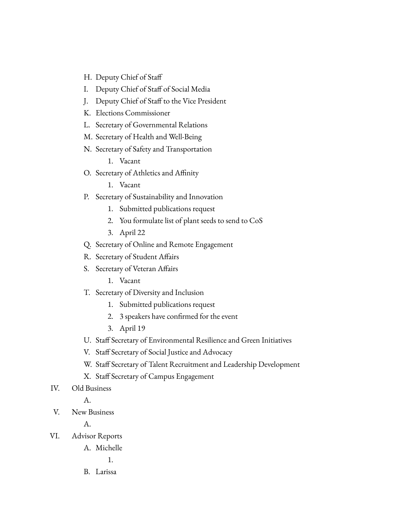- H. Deputy Chief of Staff
- I. Deputy Chief of Staff of Social Media
- J. Deputy Chief of Staff to the Vice President
- K. Elections Commissioner
- L. Secretary of Governmental Relations
- M. Secretary of Health and Well-Being
- N. Secretary of Safety and Transportation
	- 1. Vacant
- O. Secretary of Athletics and Affinity
	- 1. Vacant
- P. Secretary of Sustainability and Innovation
	- 1. Submitted publications request
	- 2. You formulate list of plant seeds to send to CoS
	- 3. April 22
- Q. Secretary of Online and Remote Engagement
- R. Secretary of Student Affairs
- S. Secretary of Veteran Affairs
	- 1. Vacant
- T. Secretary of Diversity and Inclusion
	- 1. Submitted publications request
	- 2. 3 speakers have confirmed for the event
	- 3. April 19
- U. Staff Secretary of Environmental Resilience and Green Initiatives
- V. Staff Secretary of Social Justice and Advocacy
- W. Staff Secretary of Talent Recruitment and Leadership Development
- X. Staff Secretary of Campus Engagement
- IV. Old Business
	- A.
- V. New Business

A.

- VI. Advisor Reports
	- A. Michelle

1.

B. Larissa